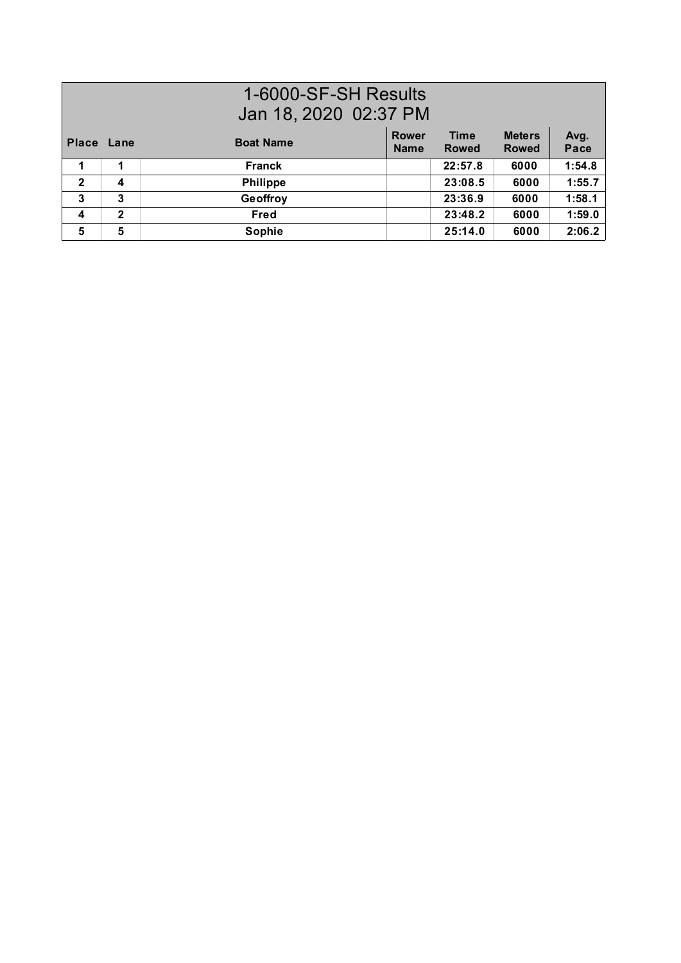## 1-6000-SF-SH Results Jan 18, 2020 02:37 PM

| Place Lane       |   | <b>Boat Name</b> | <b>Rower</b><br><b>Name</b> | <b>Time</b><br><b>Rowed</b> | <b>Meters</b><br><b>Rowed</b> | Avg.<br>Pace |
|------------------|---|------------------|-----------------------------|-----------------------------|-------------------------------|--------------|
|                  |   | <b>Franck</b>    |                             | 22:57.8                     | 6000                          | 1:54.8       |
| $\overline{2}$   | 4 | <b>Philippe</b>  |                             | 23:08.5                     | 6000                          | 1:55.7       |
| 3                | 3 | Geoffroy         |                             | 23:36.9                     | 6000                          | 1:58.1       |
| $\boldsymbol{4}$ | 2 | Fred             |                             | 23:48.2                     | 6000                          | 1:59.0       |
| 5                | 5 | Sophie           |                             | 25:14.0                     | 6000                          | 2:06.2       |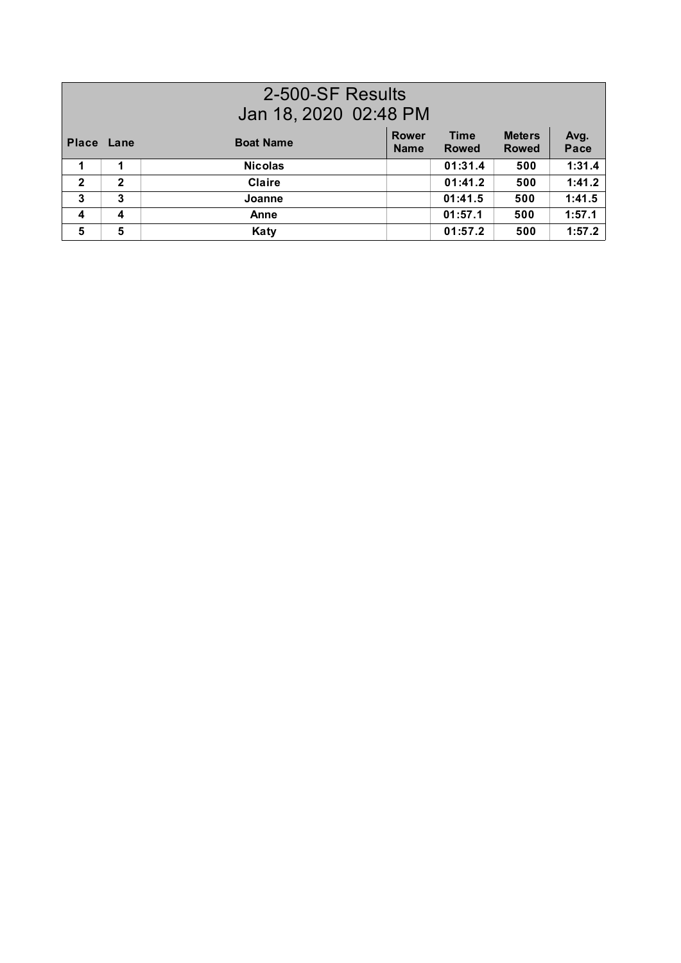| 2-500-SF Results<br>Jan 18, 2020 02:48 PM |              |                  |                             |                             |                               |              |  |
|-------------------------------------------|--------------|------------------|-----------------------------|-----------------------------|-------------------------------|--------------|--|
| <b>Place Lane</b>                         |              | <b>Boat Name</b> | <b>Rower</b><br><b>Name</b> | <b>Time</b><br><b>Rowed</b> | <b>Meters</b><br><b>Rowed</b> | Avg.<br>Pace |  |
|                                           | 1            | <b>Nicolas</b>   |                             | 01:31.4                     | 500                           | 1:31.4       |  |
| $\overline{2}$                            | $\mathbf{2}$ | <b>Claire</b>    |                             | 01:41.2                     | 500                           | 1:41.2       |  |
| 3                                         | 3            | Joanne           |                             | 01:41.5                     | 500                           | 1:41.5       |  |
| 4                                         | 4            | Anne             |                             | 01:57.1                     | 500                           | 1:57.1       |  |
| 5                                         | 5            | Katy             |                             | 01:57.2                     | 500                           | 1:57.2       |  |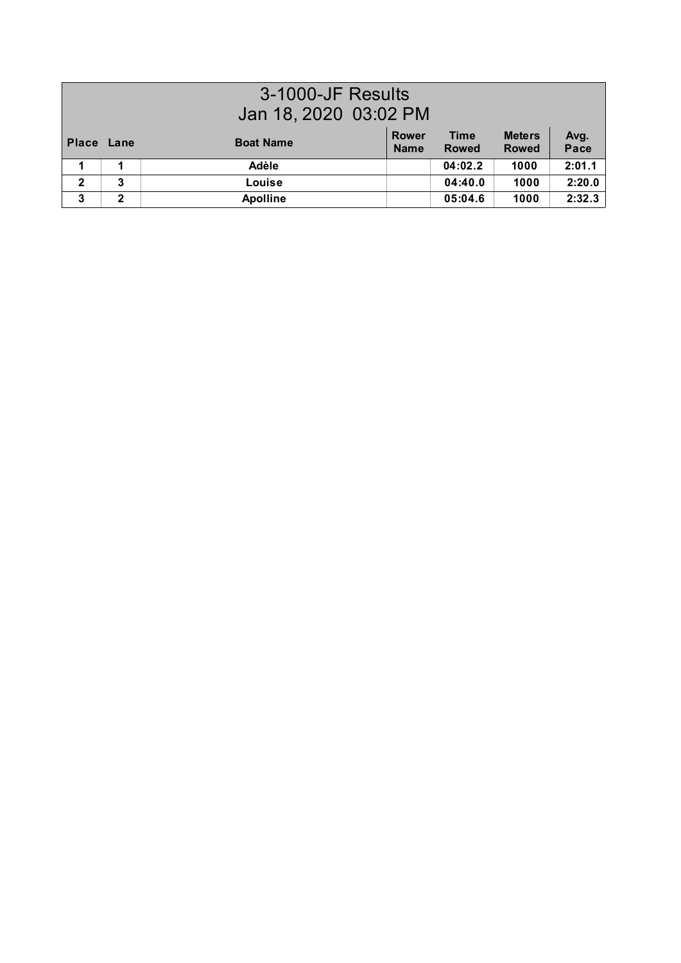| 3-1000-JF Results<br>Jan 18, 2020 03:02 PM |              |                  |                             |                             |                               |              |
|--------------------------------------------|--------------|------------------|-----------------------------|-----------------------------|-------------------------------|--------------|
| Place Lane                                 |              | <b>Boat Name</b> | <b>Rower</b><br><b>Name</b> | <b>Time</b><br><b>Rowed</b> | <b>Meters</b><br><b>Rowed</b> | Avg.<br>Pace |
|                                            | 4            | Adèle            |                             | 04:02.2                     | 1000                          | 2:01.1       |
| $\overline{2}$                             | 3            | Louise           |                             | 04:40.0                     | 1000                          | 2:20.0       |
| 3                                          | $\mathbf{2}$ | <b>Apolline</b>  |                             | 05:04.6                     | 1000                          | 2:32.3       |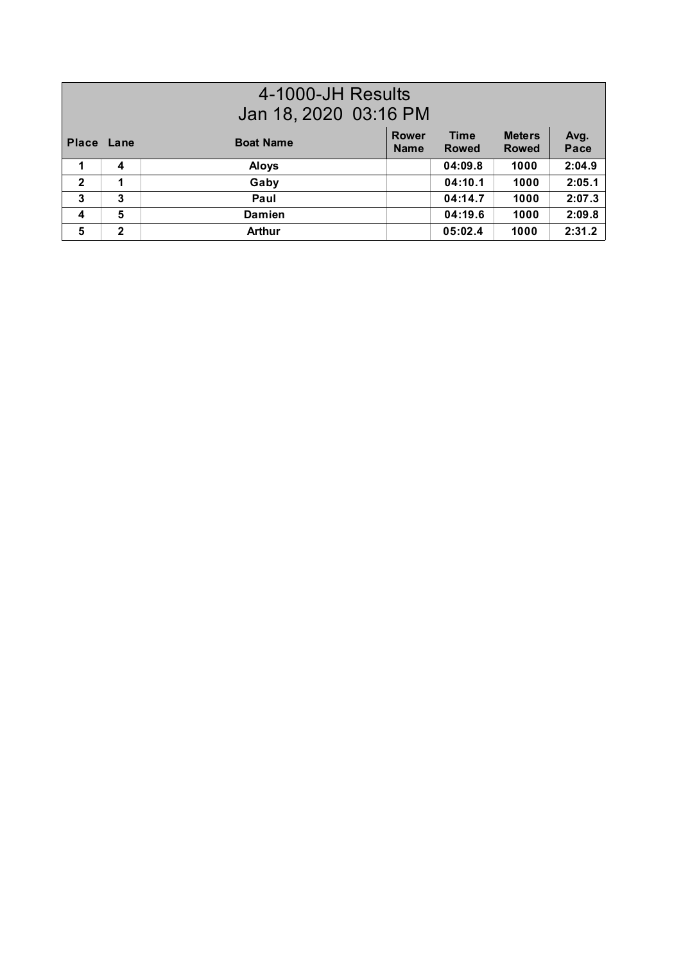| 4-1000-JH Results       |                       |                  |                             |                             |                               |              |
|-------------------------|-----------------------|------------------|-----------------------------|-----------------------------|-------------------------------|--------------|
|                         | Jan 18, 2020 03:16 PM |                  |                             |                             |                               |              |
| Place Lane              |                       | <b>Boat Name</b> | <b>Rower</b><br><b>Name</b> | <b>Time</b><br><b>Rowed</b> | <b>Meters</b><br><b>Rowed</b> | Avg.<br>Pace |
| 1                       | 4                     | <b>Aloys</b>     |                             | 04:09.8                     | 1000                          | 2:04.9       |
| $\mathbf{2}$            | 1                     | Gaby             |                             | 04:10.1                     | 1000                          | 2:05.1       |
| 3                       | 3                     | Paul             |                             | 04:14.7                     | 1000                          | 2:07.3       |
| $\overline{\mathbf{4}}$ | 5                     | <b>Damien</b>    |                             | 04:19.6                     | 1000                          | 2:09.8       |
| 5                       | $\mathbf{2}$          | <b>Arthur</b>    |                             | 05:02.4                     | 1000                          | 2:31.2       |
|                         |                       |                  |                             |                             |                               |              |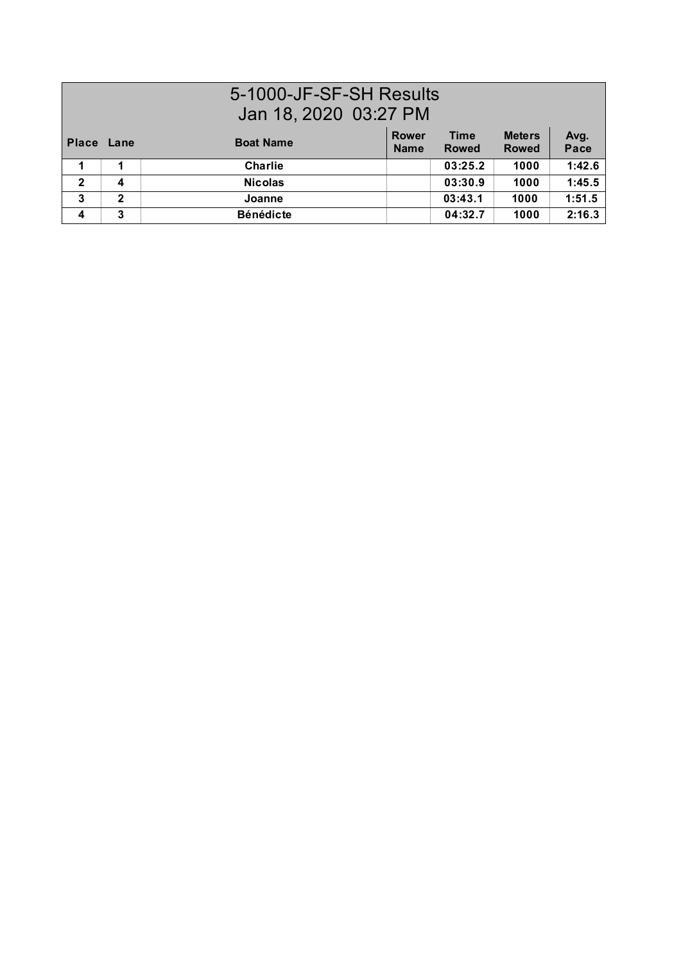| 5-1000-JF-SF-SH Results<br>Jan 18, 2020 03:27 PM |              |                  |                             |                             |                               |              |  |
|--------------------------------------------------|--------------|------------------|-----------------------------|-----------------------------|-------------------------------|--------------|--|
| Place Lane                                       |              | <b>Boat Name</b> | <b>Rower</b><br><b>Name</b> | <b>Time</b><br><b>Rowed</b> | <b>Meters</b><br><b>Rowed</b> | Avg.<br>Pace |  |
|                                                  |              | <b>Charlie</b>   |                             | 03:25.2                     | 1000                          | 1:42.6       |  |
| $\overline{2}$                                   | 4            | <b>Nicolas</b>   |                             | 03:30.9                     | 1000                          | 1:45.5       |  |
| 3                                                | $\mathbf{2}$ | Joanne           |                             | 03:43.1                     | 1000                          | 1:51.5       |  |
| 4                                                | 3            | <b>Bénédicte</b> |                             | 04:32.7                     | 1000                          | 2:16.3       |  |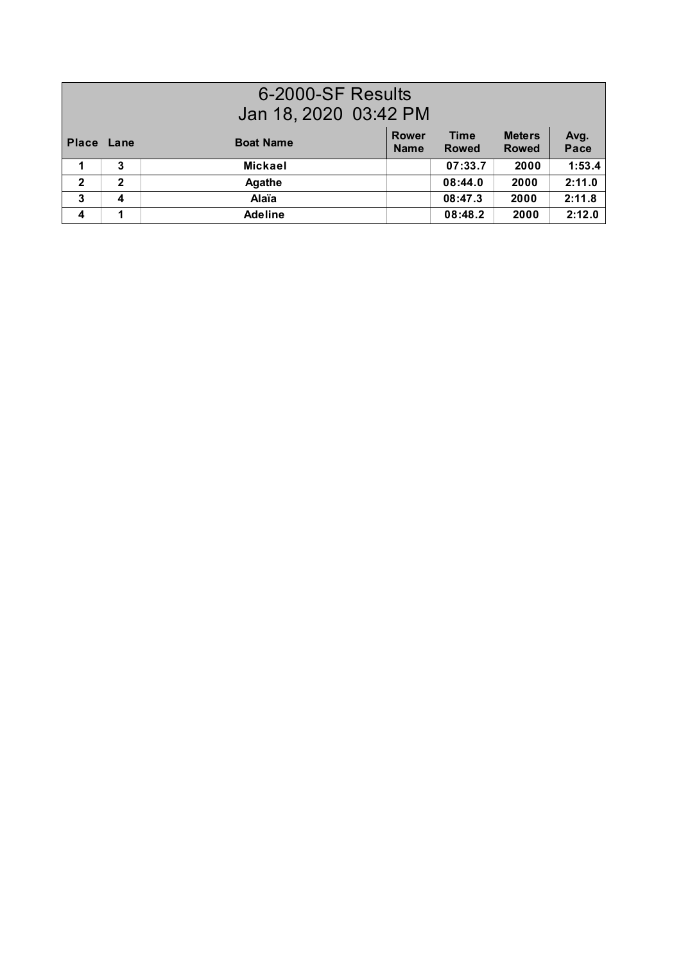| 6-2000-SF Results<br>Jan 18, 2020 03:42 PM |              |                  |                             |                             |                               |              |  |
|--------------------------------------------|--------------|------------------|-----------------------------|-----------------------------|-------------------------------|--------------|--|
| <b>Place</b>                               | Lane         | <b>Boat Name</b> | <b>Rower</b><br><b>Name</b> | <b>Time</b><br><b>Rowed</b> | <b>Meters</b><br><b>Rowed</b> | Avg.<br>Pace |  |
|                                            | 3            | <b>Mickael</b>   |                             | 07:33.7                     | 2000                          | 1:53.4       |  |
| $\overline{2}$                             | $\mathbf{2}$ | <b>Agathe</b>    |                             | 08:44.0                     | 2000                          | 2:11.0       |  |
| 3                                          | 4            | Alaïa            |                             | 08:47.3                     | 2000                          | 2:11.8       |  |
| $\overline{\mathbf{4}}$                    | 1            | <b>Adeline</b>   |                             | 08:48.2                     | 2000                          | 2:12.0       |  |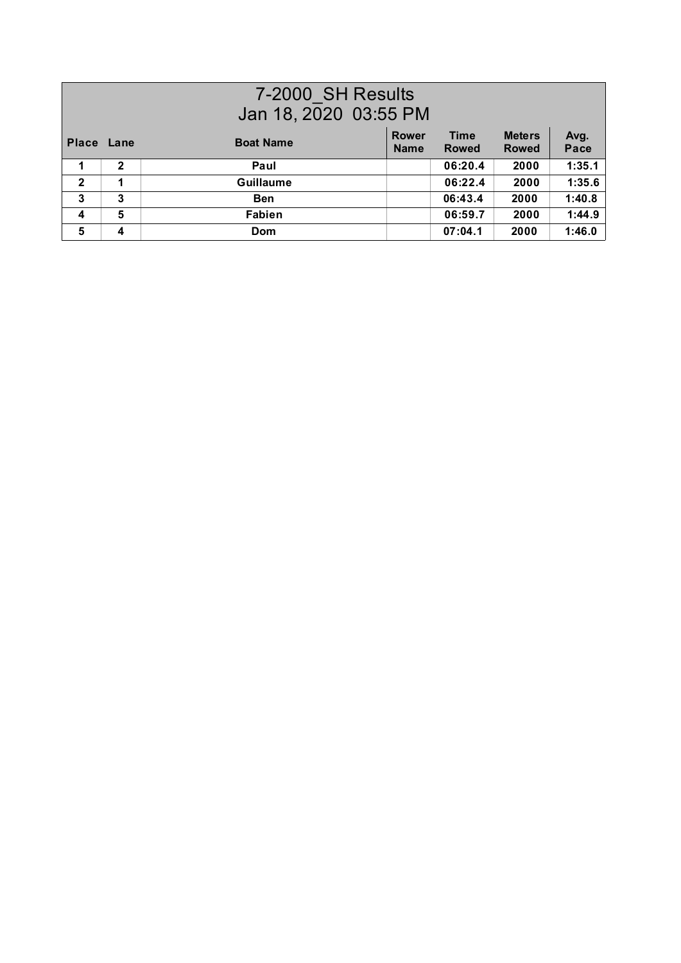| 7-2000 SH Results<br>Jan 18, 2020 03:55 PM |              |                  |                             |                             |                               |              |
|--------------------------------------------|--------------|------------------|-----------------------------|-----------------------------|-------------------------------|--------------|
| Place Lane                                 |              | <b>Boat Name</b> | <b>Rower</b><br><b>Name</b> | <b>Time</b><br><b>Rowed</b> | <b>Meters</b><br><b>Rowed</b> | Avg.<br>Pace |
|                                            | $\mathbf{2}$ | Paul             |                             | 06:20.4                     | 2000                          | 1:35.1       |
| $\mathbf{2}$                               | 1            | <b>Guillaume</b> |                             | 06:22.4                     | 2000                          | 1:35.6       |
| 3                                          | 3            | <b>Ben</b>       |                             | 06:43.4                     | 2000                          | 1:40.8       |
| 4                                          | 5            | <b>Fabien</b>    |                             | 06:59.7                     | 2000                          | 1:44.9       |
| 5                                          | 4            | <b>Dom</b>       |                             | 07:04.1                     | 2000                          | 1:46.0       |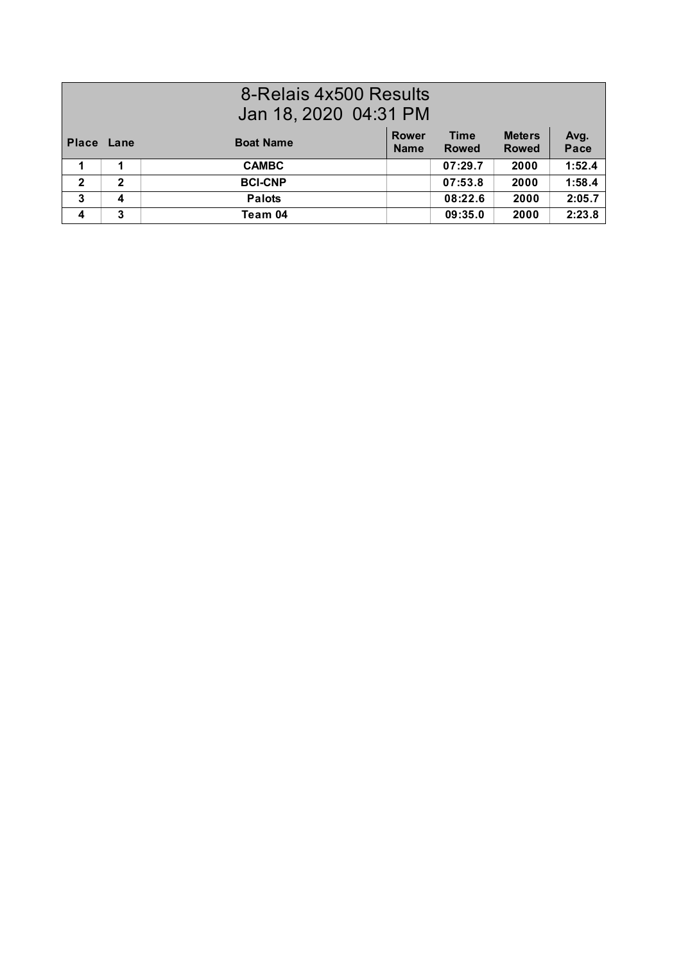## 8-Relais 4x500 Results Jan 18, 2020 04:31 PM

| Place Lane   |   | <b>Boat Name</b> | <b>Rower</b><br><b>Name</b> | <b>Time</b><br><b>Rowed</b> | <b>Meters</b><br><b>Rowed</b> | Avg.<br>Pace |
|--------------|---|------------------|-----------------------------|-----------------------------|-------------------------------|--------------|
|              |   | <b>CAMBC</b>     |                             | 07:29.7                     | 2000                          | 1:52.4       |
| $\mathbf{2}$ | 2 | <b>BCI-CNP</b>   |                             | 07:53.8                     | 2000                          | 1:58.4       |
| 3            |   | <b>Palots</b>    |                             | 08:22.6                     | 2000                          | 2:05.7       |
| 4            | 3 | Team 04          |                             | 09:35.0                     | 2000                          | 2:23.8       |